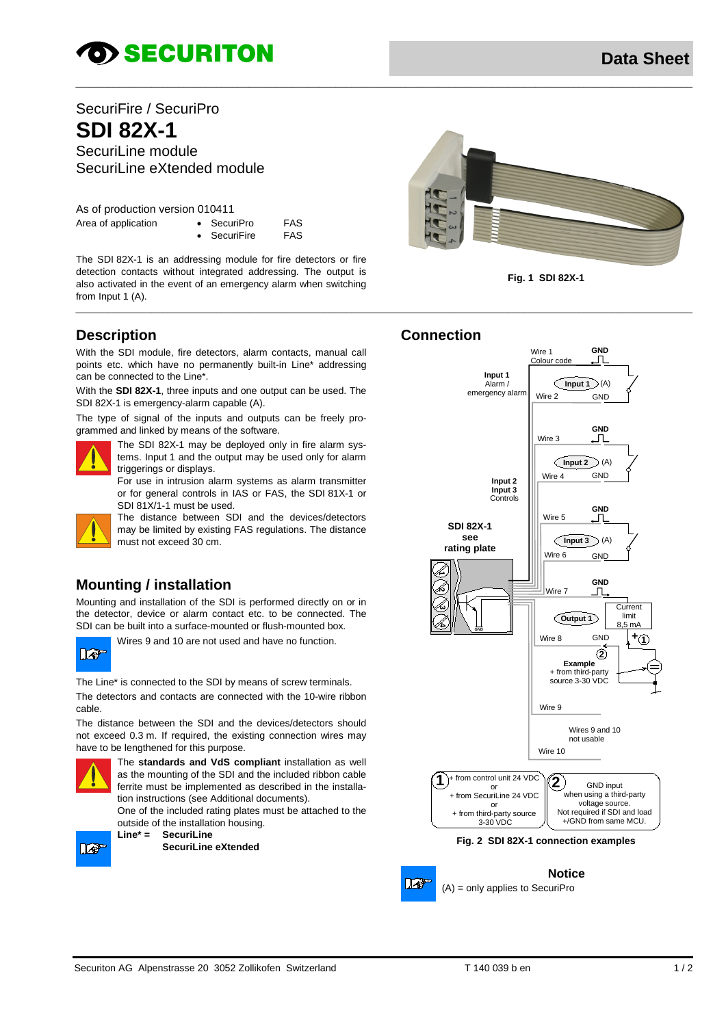# **OD SECURITON**

# SecuriFire / SecuriPro **SDI 82X-1** SecuriLine module

SecuriLine eXtended module

As of production version 010411

| Area of application | $\bullet$ SecuriPro  | FAS |
|---------------------|----------------------|-----|
|                     | $\bullet$ SecuriFire | FAS |

• SecuriFire FAS

The SDI 82X-1 is an addressing module for fire detectors or fire detection contacts without integrated addressing. The output is also activated in the event of an emergency alarm when switching from Input 1 (A).

# <span id="page-0-0"></span>**Description**

With the SDI module, fire detectors, alarm contacts, manual call points etc. which have no permanently built-in Line\* addressing can be connected to the Line\*.

With the **SDI 82X-1**, three inputs and one output can be used. The SDI 82X-1 is emergency-alarm capable (A).

The type of signal of the inputs and outputs can be freely programmed and linked by means of the software.



The SDI 82X-1 may be deployed only in fire alarm systems. Input 1 and the output may be used only for alarm triggerings or displays.

For use in intrusion alarm systems as alarm transmitter or for general controls in IAS or FAS, the SDI 81X-1 or SDI 81X/1-1 must be used.

The distance between SDI and the devices/detectors may be limited by existing FAS regulations. The distance must not exceed 30 cm.

## **Mounting / installation**

Mounting and installation of the SDI is performed directly on or in the detector, device or alarm contact etc. to be connected. The SDI can be built into a surface-mounted or flush-mounted box.



Wires 9 and 10 are not used and have no function.

The Line\* is connected to the SDI by means of screw terminals. The detectors and contacts are connected with the 10-wire ribbon cable.

The distance between the SDI and the devices/detectors should not exceed 0.3 m. If required, the existing connection wires may have to be lengthened for this purpose.



The **standards and VdS compliant** installation as well as the mounting of the SDI and the included ribbon cable ferrite must be implemented as described in the installation instructions (se[e Additional documents\)](#page-1-0).

One of the included rating plates must be attached to the outside of the installation housing.<br>Line\* = SecuriLine



**Line\* = SecuriLine SecuriLine eXtended**





### **Connection**

\_\_\_\_\_\_\_\_\_\_\_\_\_\_\_\_\_\_\_\_\_\_\_\_\_\_\_\_\_\_\_\_\_\_\_\_\_\_\_\_\_\_\_\_\_\_\_\_\_\_\_\_\_\_\_\_\_\_\_\_\_\_\_\_\_\_\_\_\_\_\_\_\_\_\_\_\_\_\_\_\_\_\_\_\_\_\_\_\_\_\_\_\_\_\_\_\_\_\_\_\_\_\_\_\_\_\_\_\_\_\_\_\_\_

\_\_\_\_\_\_\_\_\_\_\_\_\_\_\_\_\_\_\_\_\_\_\_\_\_\_\_\_\_\_\_\_\_\_\_\_\_\_\_\_\_\_\_\_\_\_\_\_\_\_\_\_\_\_\_\_\_\_\_\_\_\_\_\_\_\_\_\_\_\_\_\_\_\_\_\_\_\_\_\_\_\_\_\_\_\_\_\_\_\_\_\_\_\_\_\_\_\_\_\_\_\_\_\_\_\_\_\_\_\_\_\_\_\_



#### **Fig. 2 SDI 82X-1 connection examples**



**Notice** (A) = only applies to SecuriPro